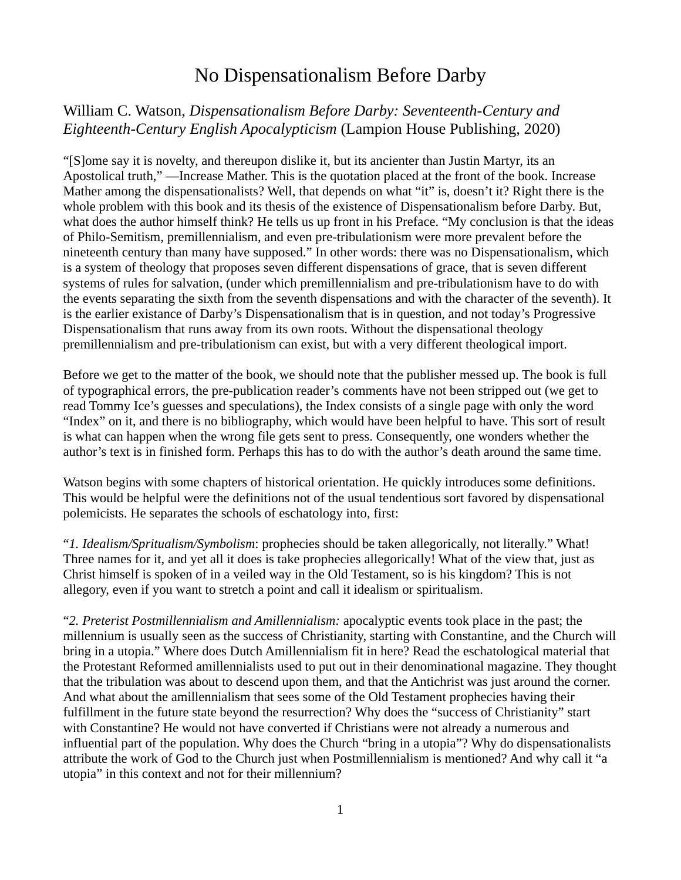## No Dispensationalism Before Darby

## William C. Watson, *Dispensationalism Before Darby: Seventeenth-Century and Eighteenth-Century English Apocalypticism* (Lampion House Publishing, 2020)

"[S]ome say it is novelty, and thereupon dislike it, but its ancienter than Justin Martyr, its an Apostolical truth," —Increase Mather. This is the quotation placed at the front of the book. Increase Mather among the dispensationalists? Well, that depends on what "it" is, doesn't it? Right there is the whole problem with this book and its thesis of the existence of Dispensationalism before Darby. But, what does the author himself think? He tells us up front in his Preface. "My conclusion is that the ideas of Philo-Semitism, premillennialism, and even pre-tribulationism were more prevalent before the nineteenth century than many have supposed." In other words: there was no Dispensationalism, which is a system of theology that proposes seven different dispensations of grace, that is seven different systems of rules for salvation, (under which premillennialism and pre-tribulationism have to do with the events separating the sixth from the seventh dispensations and with the character of the seventh). It is the earlier existance of Darby's Dispensationalism that is in question, and not today's Progressive Dispensationalism that runs away from its own roots. Without the dispensational theology premillennialism and pre-tribulationism can exist, but with a very different theological import.

Before we get to the matter of the book, we should note that the publisher messed up. The book is full of typographical errors, the pre-publication reader's comments have not been stripped out (we get to read Tommy Ice's guesses and speculations), the Index consists of a single page with only the word "Index" on it, and there is no bibliography, which would have been helpful to have. This sort of result is what can happen when the wrong file gets sent to press. Consequently, one wonders whether the author's text is in finished form. Perhaps this has to do with the author's death around the same time.

Watson begins with some chapters of historical orientation. He quickly introduces some definitions. This would be helpful were the definitions not of the usual tendentious sort favored by dispensational polemicists. He separates the schools of eschatology into, first:

"*1. Idealism/Spritualism/Symbolism*: prophecies should be taken allegorically, not literally." What! Three names for it, and yet all it does is take prophecies allegorically! What of the view that, just as Christ himself is spoken of in a veiled way in the Old Testament, so is his kingdom? This is not allegory, even if you want to stretch a point and call it idealism or spiritualism.

"*2. Preterist Postmillennialism and Amillennialism:* apocalyptic events took place in the past; the millennium is usually seen as the success of Christianity, starting with Constantine, and the Church will bring in a utopia." Where does Dutch Amillennialism fit in here? Read the eschatological material that the Protestant Reformed amillennialists used to put out in their denominational magazine. They thought that the tribulation was about to descend upon them, and that the Antichrist was just around the corner. And what about the amillennialism that sees some of the Old Testament prophecies having their fulfillment in the future state beyond the resurrection? Why does the "success of Christianity" start with Constantine? He would not have converted if Christians were not already a numerous and influential part of the population. Why does the Church "bring in a utopia"? Why do dispensationalists attribute the work of God to the Church just when Postmillennialism is mentioned? And why call it "a utopia" in this context and not for their millennium?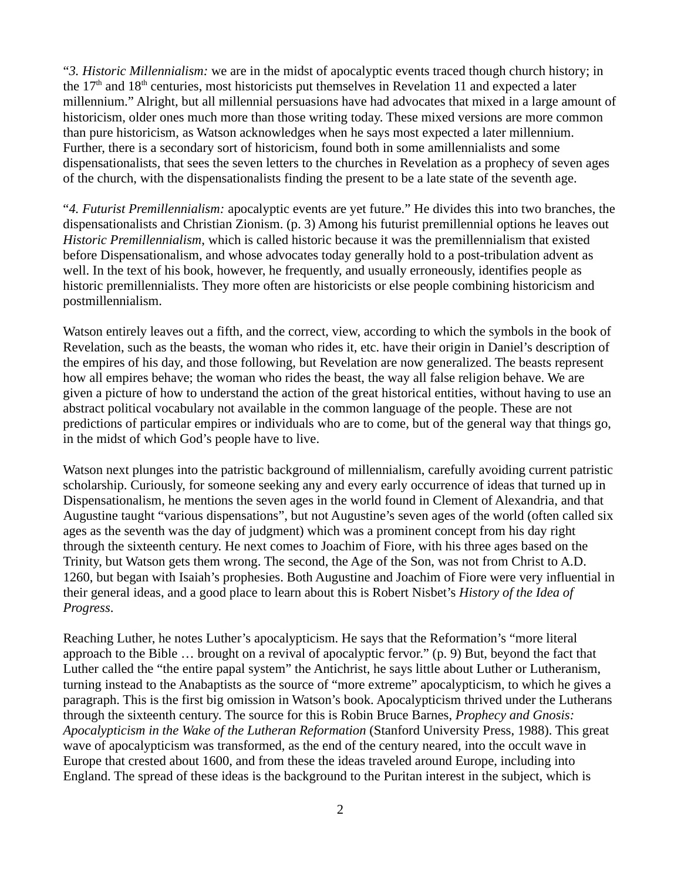"*3. Historic Millennialism:* we are in the midst of apocalyptic events traced though church history; in the 17<sup>th</sup> and 18<sup>th</sup> centuries, most historicists put themselves in Revelation 11 and expected a later millennium." Alright, but all millennial persuasions have had advocates that mixed in a large amount of historicism, older ones much more than those writing today. These mixed versions are more common than pure historicism, as Watson acknowledges when he says most expected a later millennium. Further, there is a secondary sort of historicism, found both in some amillennialists and some dispensationalists, that sees the seven letters to the churches in Revelation as a prophecy of seven ages of the church, with the dispensationalists finding the present to be a late state of the seventh age.

"*4. Futurist Premillennialism:* apocalyptic events are yet future." He divides this into two branches, the dispensationalists and Christian Zionism. (p. 3) Among his futurist premillennial options he leaves out *Historic Premillennialism*, which is called historic because it was the premillennialism that existed before Dispensationalism, and whose advocates today generally hold to a post-tribulation advent as well. In the text of his book, however, he frequently, and usually erroneously, identifies people as historic premillennialists. They more often are historicists or else people combining historicism and postmillennialism.

Watson entirely leaves out a fifth, and the correct, view, according to which the symbols in the book of Revelation, such as the beasts, the woman who rides it, etc. have their origin in Daniel's description of the empires of his day, and those following, but Revelation are now generalized. The beasts represent how all empires behave; the woman who rides the beast, the way all false religion behave. We are given a picture of how to understand the action of the great historical entities, without having to use an abstract political vocabulary not available in the common language of the people. These are not predictions of particular empires or individuals who are to come, but of the general way that things go, in the midst of which God's people have to live.

Watson next plunges into the patristic background of millennialism, carefully avoiding current patristic scholarship. Curiously, for someone seeking any and every early occurrence of ideas that turned up in Dispensationalism, he mentions the seven ages in the world found in Clement of Alexandria, and that Augustine taught "various dispensations", but not Augustine's seven ages of the world (often called six ages as the seventh was the day of judgment) which was a prominent concept from his day right through the sixteenth century. He next comes to Joachim of Fiore, with his three ages based on the Trinity, but Watson gets them wrong. The second, the Age of the Son, was not from Christ to A.D. 1260, but began with Isaiah's prophesies. Both Augustine and Joachim of Fiore were very influential in their general ideas, and a good place to learn about this is Robert Nisbet's *History of the Idea of Progress*.

Reaching Luther, he notes Luther's apocalypticism. He says that the Reformation's "more literal approach to the Bible … brought on a revival of apocalyptic fervor." (p. 9) But, beyond the fact that Luther called the "the entire papal system" the Antichrist, he says little about Luther or Lutheranism, turning instead to the Anabaptists as the source of "more extreme" apocalypticism, to which he gives a paragraph. This is the first big omission in Watson's book. Apocalypticism thrived under the Lutherans through the sixteenth century. The source for this is Robin Bruce Barnes, *Prophecy and Gnosis: Apocalypticism in the Wake of the Lutheran Reformation* (Stanford University Press, 1988). This great wave of apocalypticism was transformed, as the end of the century neared, into the occult wave in Europe that crested about 1600, and from these the ideas traveled around Europe, including into England. The spread of these ideas is the background to the Puritan interest in the subject, which is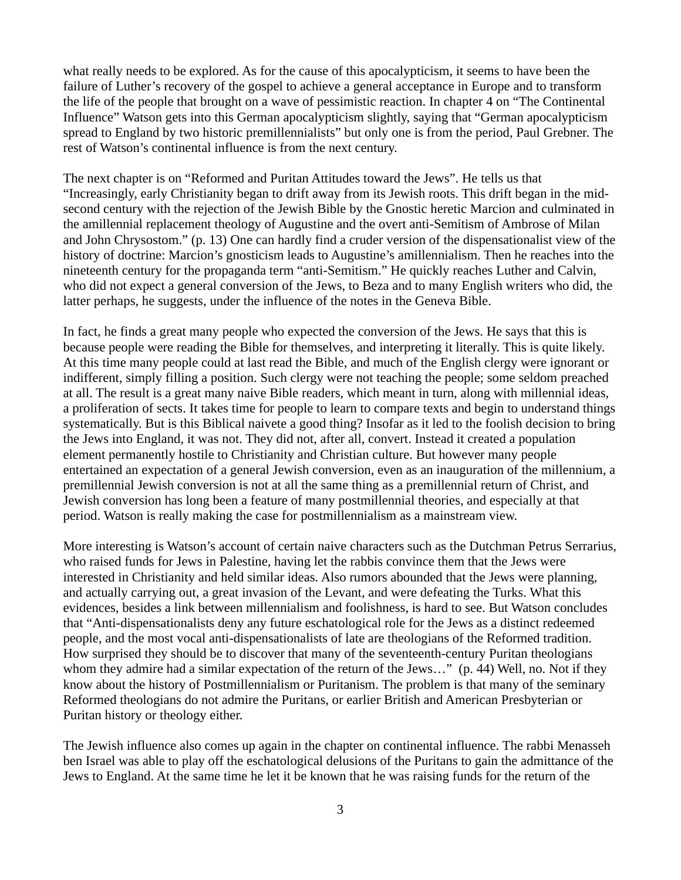what really needs to be explored. As for the cause of this apocalypticism, it seems to have been the failure of Luther's recovery of the gospel to achieve a general acceptance in Europe and to transform the life of the people that brought on a wave of pessimistic reaction. In chapter 4 on "The Continental Influence" Watson gets into this German apocalypticism slightly, saying that "German apocalypticism spread to England by two historic premillennialists" but only one is from the period, Paul Grebner. The rest of Watson's continental influence is from the next century.

The next chapter is on "Reformed and Puritan Attitudes toward the Jews". He tells us that "Increasingly, early Christianity began to drift away from its Jewish roots. This drift began in the midsecond century with the rejection of the Jewish Bible by the Gnostic heretic Marcion and culminated in the amillennial replacement theology of Augustine and the overt anti-Semitism of Ambrose of Milan and John Chrysostom." (p. 13) One can hardly find a cruder version of the dispensationalist view of the history of doctrine: Marcion's gnosticism leads to Augustine's amillennialism. Then he reaches into the nineteenth century for the propaganda term "anti-Semitism." He quickly reaches Luther and Calvin, who did not expect a general conversion of the Jews, to Beza and to many English writers who did, the latter perhaps, he suggests, under the influence of the notes in the Geneva Bible.

In fact, he finds a great many people who expected the conversion of the Jews. He says that this is because people were reading the Bible for themselves, and interpreting it literally. This is quite likely. At this time many people could at last read the Bible, and much of the English clergy were ignorant or indifferent, simply filling a position. Such clergy were not teaching the people; some seldom preached at all. The result is a great many naive Bible readers, which meant in turn, along with millennial ideas, a proliferation of sects. It takes time for people to learn to compare texts and begin to understand things systematically. But is this Biblical naivete a good thing? Insofar as it led to the foolish decision to bring the Jews into England, it was not. They did not, after all, convert. Instead it created a population element permanently hostile to Christianity and Christian culture. But however many people entertained an expectation of a general Jewish conversion, even as an inauguration of the millennium, a premillennial Jewish conversion is not at all the same thing as a premillennial return of Christ, and Jewish conversion has long been a feature of many postmillennial theories, and especially at that period. Watson is really making the case for postmillennialism as a mainstream view.

More interesting is Watson's account of certain naive characters such as the Dutchman Petrus Serrarius, who raised funds for Jews in Palestine, having let the rabbis convince them that the Jews were interested in Christianity and held similar ideas. Also rumors abounded that the Jews were planning, and actually carrying out, a great invasion of the Levant, and were defeating the Turks. What this evidences, besides a link between millennialism and foolishness, is hard to see. But Watson concludes that "Anti-dispensationalists deny any future eschatological role for the Jews as a distinct redeemed people, and the most vocal anti-dispensationalists of late are theologians of the Reformed tradition. How surprised they should be to discover that many of the seventeenth-century Puritan theologians whom they admire had a similar expectation of the return of the Jews..." (p. 44) Well, no. Not if they know about the history of Postmillennialism or Puritanism. The problem is that many of the seminary Reformed theologians do not admire the Puritans, or earlier British and American Presbyterian or Puritan history or theology either.

The Jewish influence also comes up again in the chapter on continental influence. The rabbi Menasseh ben Israel was able to play off the eschatological delusions of the Puritans to gain the admittance of the Jews to England. At the same time he let it be known that he was raising funds for the return of the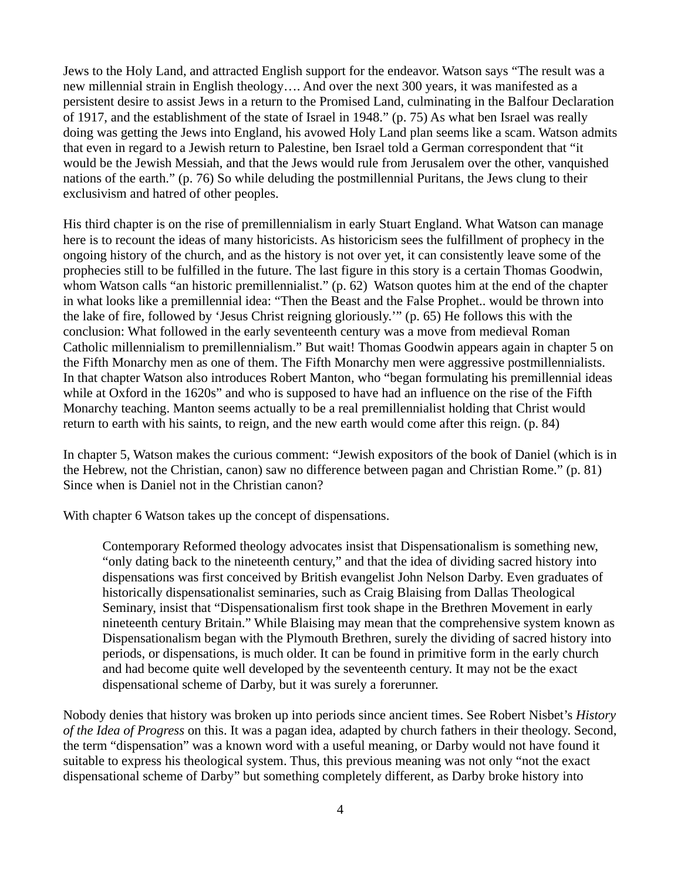Jews to the Holy Land, and attracted English support for the endeavor. Watson says "The result was a new millennial strain in English theology…. And over the next 300 years, it was manifested as a persistent desire to assist Jews in a return to the Promised Land, culminating in the Balfour Declaration of 1917, and the establishment of the state of Israel in 1948." (p. 75) As what ben Israel was really doing was getting the Jews into England, his avowed Holy Land plan seems like a scam. Watson admits that even in regard to a Jewish return to Palestine, ben Israel told a German correspondent that "it would be the Jewish Messiah, and that the Jews would rule from Jerusalem over the other, vanquished nations of the earth." (p. 76) So while deluding the postmillennial Puritans, the Jews clung to their exclusivism and hatred of other peoples.

His third chapter is on the rise of premillennialism in early Stuart England. What Watson can manage here is to recount the ideas of many historicists. As historicism sees the fulfillment of prophecy in the ongoing history of the church, and as the history is not over yet, it can consistently leave some of the prophecies still to be fulfilled in the future. The last figure in this story is a certain Thomas Goodwin, whom Watson calls "an historic premillennialist." (p. 62) Watson quotes him at the end of the chapter in what looks like a premillennial idea: "Then the Beast and the False Prophet.. would be thrown into the lake of fire, followed by 'Jesus Christ reigning gloriously.'" (p. 65) He follows this with the conclusion: What followed in the early seventeenth century was a move from medieval Roman Catholic millennialism to premillennialism." But wait! Thomas Goodwin appears again in chapter 5 on the Fifth Monarchy men as one of them. The Fifth Monarchy men were aggressive postmillennialists. In that chapter Watson also introduces Robert Manton, who "began formulating his premillennial ideas while at Oxford in the 1620s" and who is supposed to have had an influence on the rise of the Fifth Monarchy teaching. Manton seems actually to be a real premillennialist holding that Christ would return to earth with his saints, to reign, and the new earth would come after this reign. (p. 84)

In chapter 5, Watson makes the curious comment: "Jewish expositors of the book of Daniel (which is in the Hebrew, not the Christian, canon) saw no difference between pagan and Christian Rome." (p. 81) Since when is Daniel not in the Christian canon?

With chapter 6 Watson takes up the concept of dispensations.

Contemporary Reformed theology advocates insist that Dispensationalism is something new, "only dating back to the nineteenth century," and that the idea of dividing sacred history into dispensations was first conceived by British evangelist John Nelson Darby. Even graduates of historically dispensationalist seminaries, such as Craig Blaising from Dallas Theological Seminary, insist that "Dispensationalism first took shape in the Brethren Movement in early nineteenth century Britain." While Blaising may mean that the comprehensive system known as Dispensationalism began with the Plymouth Brethren, surely the dividing of sacred history into periods, or dispensations, is much older. It can be found in primitive form in the early church and had become quite well developed by the seventeenth century. It may not be the exact dispensational scheme of Darby, but it was surely a forerunner.

Nobody denies that history was broken up into periods since ancient times. See Robert Nisbet's *History of the Idea of Progress* on this. It was a pagan idea, adapted by church fathers in their theology. Second, the term "dispensation" was a known word with a useful meaning, or Darby would not have found it suitable to express his theological system. Thus, this previous meaning was not only "not the exact dispensational scheme of Darby" but something completely different, as Darby broke history into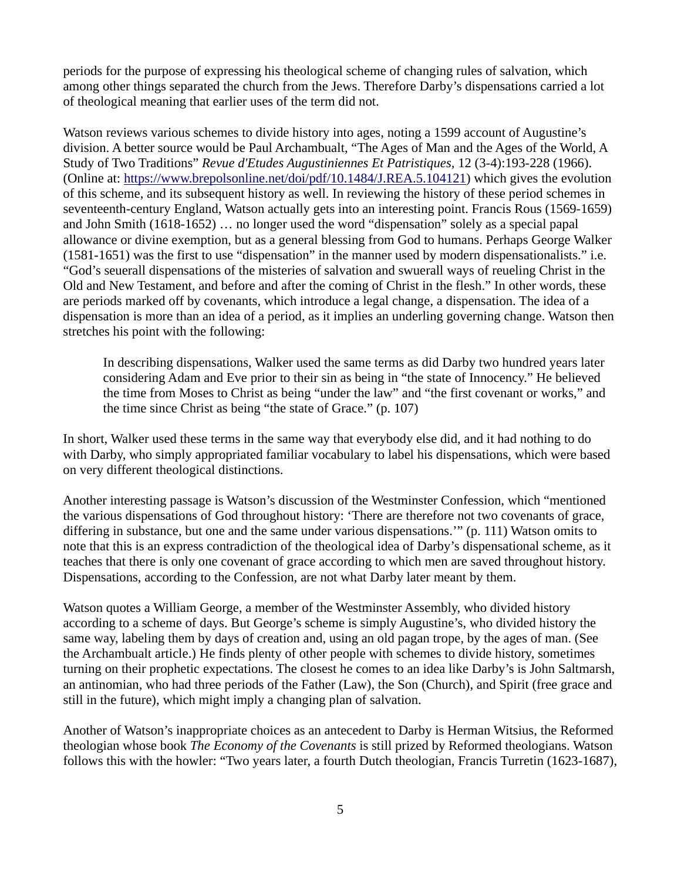periods for the purpose of expressing his theological scheme of changing rules of salvation, which among other things separated the church from the Jews. Therefore Darby's dispensations carried a lot of theological meaning that earlier uses of the term did not.

Watson reviews various schemes to divide history into ages, noting a 1599 account of Augustine's division. A better source would be Paul Archambualt, "The Ages of Man and the Ages of the World, A Study of Two Traditions" *Revue d'Etudes Augustiniennes Et Patristiques,* 12 (3-4):193-228 (1966). (Online at: https://www.brepolsonline.net/doi/pdf/10.1484/J.REA.5.104121) which gives the evolution of this scheme, and its subsequent history as well. In reviewing the history of these period schemes in seventeenth-century England, Watson actually gets into an interesting point. Francis Rous (1569-1659) and John Smith (1618-1652) … no longer used the word "dispensation" solely as a special papal allowance or divine exemption, but as a general blessing from God to humans. Perhaps George Walker (1581-1651) was the first to use "dispensation" in the manner used by modern dispensationalists." i.e. "God's seuerall dispensations of the misteries of salvation and swuerall ways of reueling Christ in the Old and New Testament, and before and after the coming of Christ in the flesh." In other words, these are periods marked off by covenants, which introduce a legal change, a dispensation. The idea of a dispensation is more than an idea of a period, as it implies an underling governing change. Watson then stretches his point with the following:

In describing dispensations, Walker used the same terms as did Darby two hundred years later considering Adam and Eve prior to their sin as being in "the state of Innocency." He believed the time from Moses to Christ as being "under the law" and "the first covenant or works," and the time since Christ as being "the state of Grace." (p. 107)

In short, Walker used these terms in the same way that everybody else did, and it had nothing to do with Darby, who simply appropriated familiar vocabulary to label his dispensations, which were based on very different theological distinctions.

Another interesting passage is Watson's discussion of the Westminster Confession, which "mentioned the various dispensations of God throughout history: 'There are therefore not two covenants of grace, differing in substance, but one and the same under various dispensations.'" (p. 111) Watson omits to note that this is an express contradiction of the theological idea of Darby's dispensational scheme, as it teaches that there is only one covenant of grace according to which men are saved throughout history. Dispensations, according to the Confession, are not what Darby later meant by them.

Watson quotes a William George, a member of the Westminster Assembly, who divided history according to a scheme of days. But George's scheme is simply Augustine's, who divided history the same way, labeling them by days of creation and, using an old pagan trope, by the ages of man. (See the Archambualt article.) He finds plenty of other people with schemes to divide history, sometimes turning on their prophetic expectations. The closest he comes to an idea like Darby's is John Saltmarsh, an antinomian, who had three periods of the Father (Law), the Son (Church), and Spirit (free grace and still in the future), which might imply a changing plan of salvation.

Another of Watson's inappropriate choices as an antecedent to Darby is Herman Witsius, the Reformed theologian whose book *The Economy of the Covenants* is still prized by Reformed theologians. Watson follows this with the howler: "Two years later, a fourth Dutch theologian, Francis Turretin (1623-1687),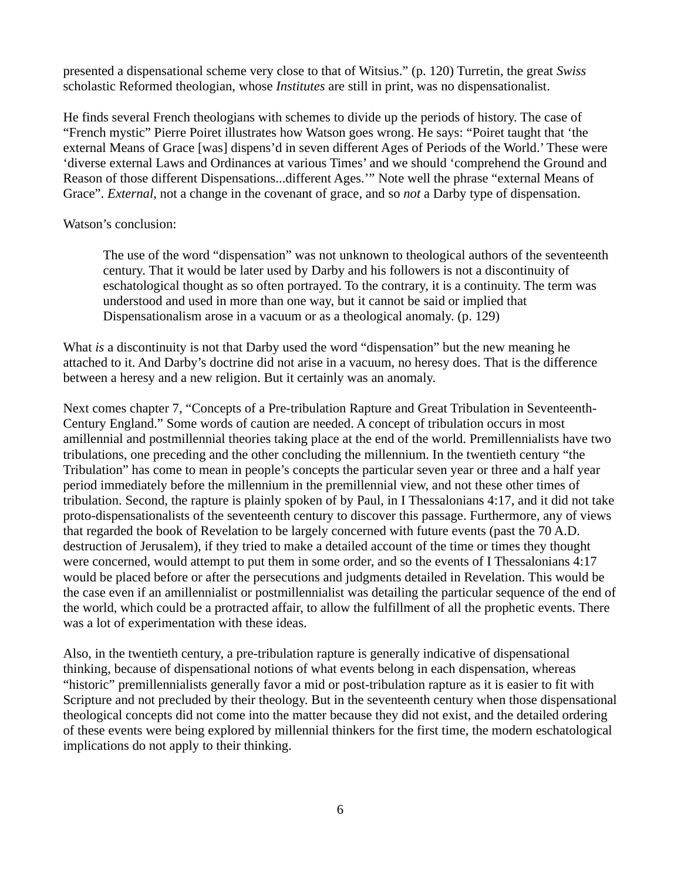presented a dispensational scheme very close to that of Witsius." (p. 120) Turretin, the great *Swiss* scholastic Reformed theologian, whose *Institutes* are still in print, was no dispensationalist.

He finds several French theologians with schemes to divide up the periods of history. The case of "French mystic" Pierre Poiret illustrates how Watson goes wrong. He says: "Poiret taught that 'the external Means of Grace [was] dispens'd in seven different Ages of Periods of the World.' These were 'diverse external Laws and Ordinances at various Times' and we should 'comprehend the Ground and Reason of those different Dispensations...different Ages.'" Note well the phrase "external Means of Grace". *External*, not a change in the covenant of grace, and so *not* a Darby type of dispensation.

## Watson's conclusion:

The use of the word "dispensation" was not unknown to theological authors of the seventeenth century. That it would be later used by Darby and his followers is not a discontinuity of eschatological thought as so often portrayed. To the contrary, it is a continuity. The term was understood and used in more than one way, but it cannot be said or implied that Dispensationalism arose in a vacuum or as a theological anomaly. (p. 129)

What *is* a discontinuity is not that Darby used the word "dispensation" but the new meaning he attached to it. And Darby's doctrine did not arise in a vacuum, no heresy does. That is the difference between a heresy and a new religion. But it certainly was an anomaly.

Next comes chapter 7, "Concepts of a Pre-tribulation Rapture and Great Tribulation in Seventeenth-Century England." Some words of caution are needed. A concept of tribulation occurs in most amillennial and postmillennial theories taking place at the end of the world. Premillennialists have two tribulations, one preceding and the other concluding the millennium. In the twentieth century "the Tribulation" has come to mean in people's concepts the particular seven year or three and a half year period immediately before the millennium in the premillennial view, and not these other times of tribulation. Second, the rapture is plainly spoken of by Paul, in I Thessalonians 4:17, and it did not take proto-dispensationalists of the seventeenth century to discover this passage. Furthermore, any of views that regarded the book of Revelation to be largely concerned with future events (past the 70 A.D. destruction of Jerusalem), if they tried to make a detailed account of the time or times they thought were concerned, would attempt to put them in some order, and so the events of I Thessalonians 4:17 would be placed before or after the persecutions and judgments detailed in Revelation. This would be the case even if an amillennialist or postmillennialist was detailing the particular sequence of the end of the world, which could be a protracted affair, to allow the fulfillment of all the prophetic events. There was a lot of experimentation with these ideas.

Also, in the twentieth century, a pre-tribulation rapture is generally indicative of dispensational thinking, because of dispensational notions of what events belong in each dispensation, whereas "historic" premillennialists generally favor a mid or post-tribulation rapture as it is easier to fit with Scripture and not precluded by their theology. But in the seventeenth century when those dispensational theological concepts did not come into the matter because they did not exist, and the detailed ordering of these events were being explored by millennial thinkers for the first time, the modern eschatological implications do not apply to their thinking.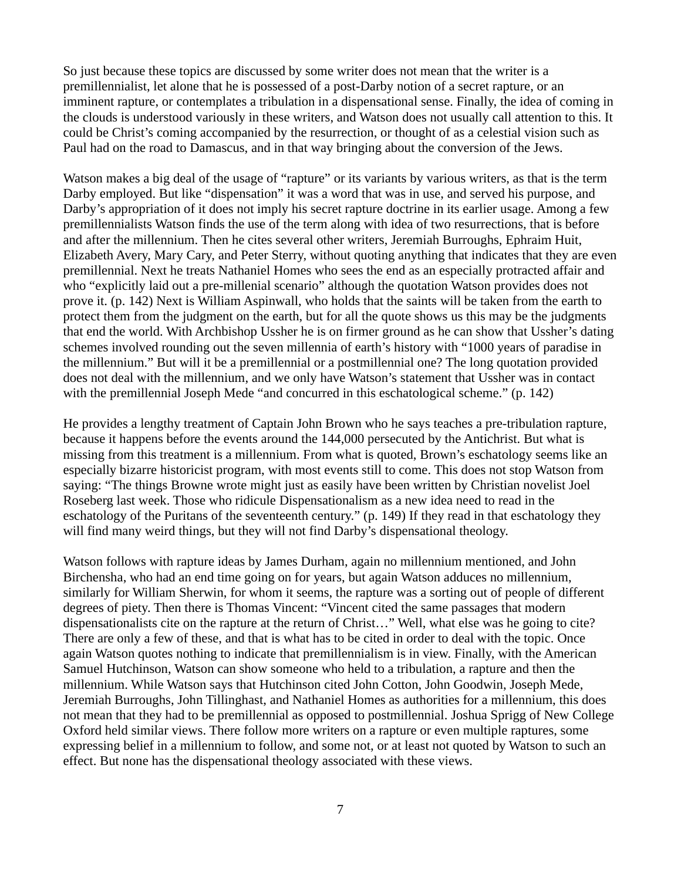So just because these topics are discussed by some writer does not mean that the writer is a premillennialist, let alone that he is possessed of a post-Darby notion of a secret rapture, or an imminent rapture, or contemplates a tribulation in a dispensational sense. Finally, the idea of coming in the clouds is understood variously in these writers, and Watson does not usually call attention to this. It could be Christ's coming accompanied by the resurrection, or thought of as a celestial vision such as Paul had on the road to Damascus, and in that way bringing about the conversion of the Jews.

Watson makes a big deal of the usage of "rapture" or its variants by various writers, as that is the term Darby employed. But like "dispensation" it was a word that was in use, and served his purpose, and Darby's appropriation of it does not imply his secret rapture doctrine in its earlier usage. Among a few premillennialists Watson finds the use of the term along with idea of two resurrections, that is before and after the millennium. Then he cites several other writers, Jeremiah Burroughs, Ephraim Huit, Elizabeth Avery, Mary Cary, and Peter Sterry, without quoting anything that indicates that they are even premillennial. Next he treats Nathaniel Homes who sees the end as an especially protracted affair and who "explicitly laid out a pre-millenial scenario" although the quotation Watson provides does not prove it. (p. 142) Next is William Aspinwall, who holds that the saints will be taken from the earth to protect them from the judgment on the earth, but for all the quote shows us this may be the judgments that end the world. With Archbishop Ussher he is on firmer ground as he can show that Ussher's dating schemes involved rounding out the seven millennia of earth's history with "1000 years of paradise in the millennium." But will it be a premillennial or a postmillennial one? The long quotation provided does not deal with the millennium, and we only have Watson's statement that Ussher was in contact with the premillennial Joseph Mede "and concurred in this eschatological scheme." (p. 142)

He provides a lengthy treatment of Captain John Brown who he says teaches a pre-tribulation rapture, because it happens before the events around the 144,000 persecuted by the Antichrist. But what is missing from this treatment is a millennium. From what is quoted, Brown's eschatology seems like an especially bizarre historicist program, with most events still to come. This does not stop Watson from saying: "The things Browne wrote might just as easily have been written by Christian novelist Joel Roseberg last week. Those who ridicule Dispensationalism as a new idea need to read in the eschatology of the Puritans of the seventeenth century." (p. 149) If they read in that eschatology they will find many weird things, but they will not find Darby's dispensational theology.

Watson follows with rapture ideas by James Durham, again no millennium mentioned, and John Birchensha, who had an end time going on for years, but again Watson adduces no millennium, similarly for William Sherwin, for whom it seems, the rapture was a sorting out of people of different degrees of piety. Then there is Thomas Vincent: "Vincent cited the same passages that modern dispensationalists cite on the rapture at the return of Christ…" Well, what else was he going to cite? There are only a few of these, and that is what has to be cited in order to deal with the topic. Once again Watson quotes nothing to indicate that premillennialism is in view. Finally, with the American Samuel Hutchinson, Watson can show someone who held to a tribulation, a rapture and then the millennium. While Watson says that Hutchinson cited John Cotton, John Goodwin, Joseph Mede, Jeremiah Burroughs, John Tillinghast, and Nathaniel Homes as authorities for a millennium, this does not mean that they had to be premillennial as opposed to postmillennial. Joshua Sprigg of New College Oxford held similar views. There follow more writers on a rapture or even multiple raptures, some expressing belief in a millennium to follow, and some not, or at least not quoted by Watson to such an effect. But none has the dispensational theology associated with these views.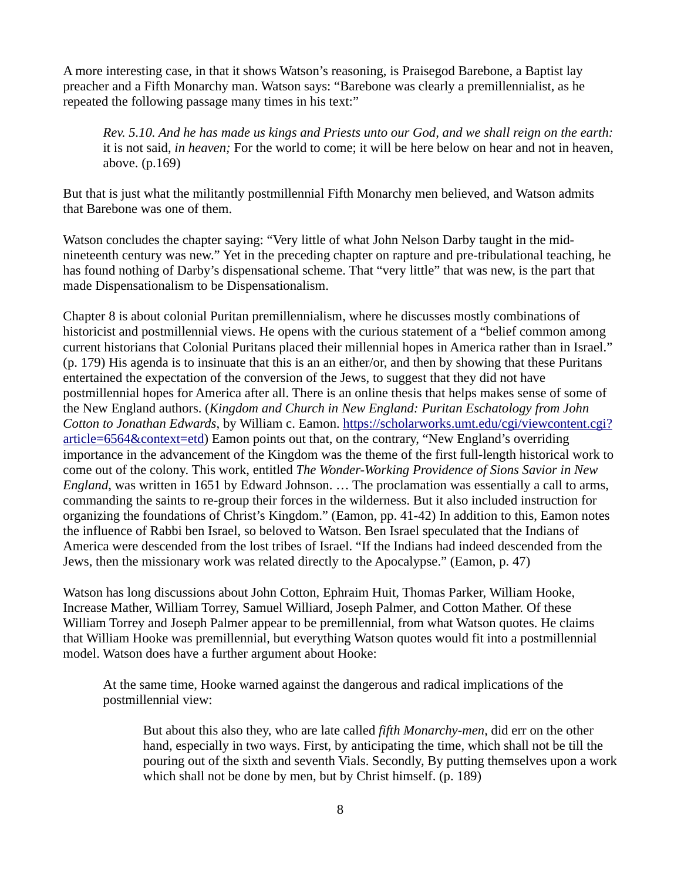A more interesting case, in that it shows Watson's reasoning, is Praisegod Barebone, a Baptist lay preacher and a Fifth Monarchy man. Watson says: "Barebone was clearly a premillennialist, as he repeated the following passage many times in his text:"

*Rev. 5.10. And he has made us kings and Priests unto our God, and we shall reign on the earth:* it is not said, *in heaven;* For the world to come; it will be here below on hear and not in heaven, above. (p.169)

But that is just what the militantly postmillennial Fifth Monarchy men believed, and Watson admits that Barebone was one of them.

Watson concludes the chapter saying: "Very little of what John Nelson Darby taught in the midnineteenth century was new." Yet in the preceding chapter on rapture and pre-tribulational teaching, he has found nothing of Darby's dispensational scheme. That "very little" that was new, is the part that made Dispensationalism to be Dispensationalism.

Chapter 8 is about colonial Puritan premillennialism, where he discusses mostly combinations of historicist and postmillennial views. He opens with the curious statement of a "belief common among current historians that Colonial Puritans placed their millennial hopes in America rather than in Israel." (p. 179) His agenda is to insinuate that this is an an either/or, and then by showing that these Puritans entertained the expectation of the conversion of the Jews, to suggest that they did not have postmillennial hopes for America after all. There is an online thesis that helps makes sense of some of the New England authors. (*Kingdom and Church in New England: Puritan Eschatology from John Cotton to Jonathan Edwards*, by William c. Eamon. https://scholarworks.umt.edu/cgi/viewcontent.cgi? article=6564&context=etd) Eamon points out that, on the contrary, "New England's overriding importance in the advancement of the Kingdom was the theme of the first full-length historical work to come out of the colony. This work, entitled *The Wonder-Working Providence of Sions Savior in New England*, was written in 1651 by Edward Johnson. … The proclamation was essentially a call to arms, commanding the saints to re-group their forces in the wilderness. But it also included instruction for organizing the foundations of Christ's Kingdom." (Eamon, pp. 41-42) In addition to this, Eamon notes the influence of Rabbi ben Israel, so beloved to Watson. Ben Israel speculated that the Indians of America were descended from the lost tribes of Israel. "If the Indians had indeed descended from the Jews, then the missionary work was related directly to the Apocalypse." (Eamon, p. 47)

Watson has long discussions about John Cotton, Ephraim Huit, Thomas Parker, William Hooke, Increase Mather, William Torrey, Samuel Williard, Joseph Palmer, and Cotton Mather. Of these William Torrey and Joseph Palmer appear to be premillennial, from what Watson quotes. He claims that William Hooke was premillennial, but everything Watson quotes would fit into a postmillennial model. Watson does have a further argument about Hooke:

At the same time, Hooke warned against the dangerous and radical implications of the postmillennial view:

But about this also they, who are late called *fifth Monarchy-men*, did err on the other hand, especially in two ways. First, by anticipating the time, which shall not be till the pouring out of the sixth and seventh Vials. Secondly, By putting themselves upon a work which shall not be done by men, but by Christ himself. (p. 189)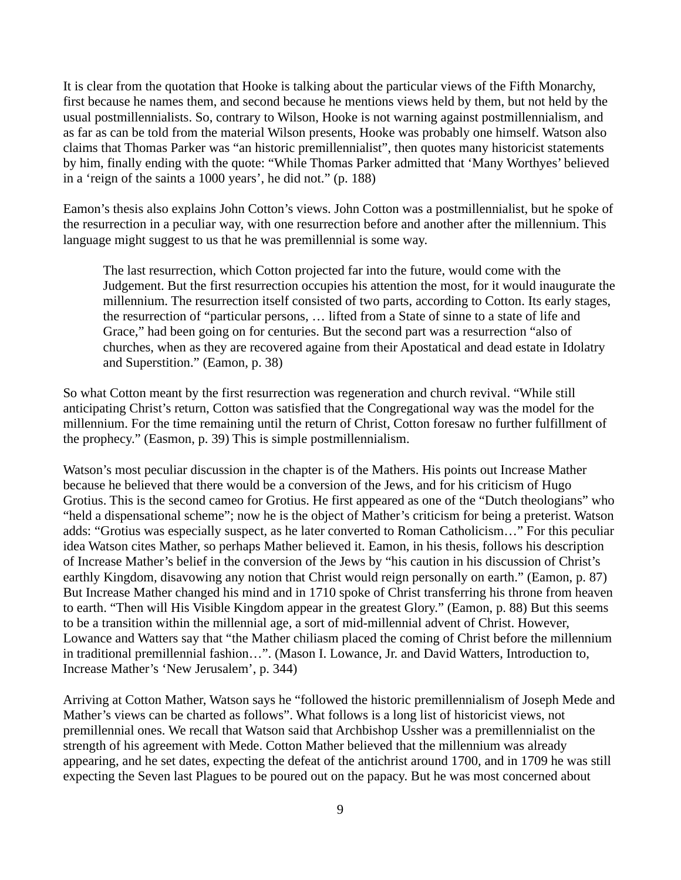It is clear from the quotation that Hooke is talking about the particular views of the Fifth Monarchy, first because he names them, and second because he mentions views held by them, but not held by the usual postmillennialists. So, contrary to Wilson, Hooke is not warning against postmillennialism, and as far as can be told from the material Wilson presents, Hooke was probably one himself. Watson also claims that Thomas Parker was "an historic premillennialist", then quotes many historicist statements by him, finally ending with the quote: "While Thomas Parker admitted that 'Many Worthyes' believed in a 'reign of the saints a 1000 years', he did not." (p. 188)

Eamon's thesis also explains John Cotton's views. John Cotton was a postmillennialist, but he spoke of the resurrection in a peculiar way, with one resurrection before and another after the millennium. This language might suggest to us that he was premillennial is some way.

The last resurrection, which Cotton projected far into the future, would come with the Judgement. But the first resurrection occupies his attention the most, for it would inaugurate the millennium. The resurrection itself consisted of two parts, according to Cotton. Its early stages, the resurrection of "particular persons, … lifted from a State of sinne to a state of life and Grace," had been going on for centuries. But the second part was a resurrection "also of churches, when as they are recovered againe from their Apostatical and dead estate in Idolatry and Superstition." (Eamon, p. 38)

So what Cotton meant by the first resurrection was regeneration and church revival. "While still anticipating Christ's return, Cotton was satisfied that the Congregational way was the model for the millennium. For the time remaining until the return of Christ, Cotton foresaw no further fulfillment of the prophecy." (Easmon, p. 39) This is simple postmillennialism.

Watson's most peculiar discussion in the chapter is of the Mathers. His points out Increase Mather because he believed that there would be a conversion of the Jews, and for his criticism of Hugo Grotius. This is the second cameo for Grotius. He first appeared as one of the "Dutch theologians" who "held a dispensational scheme"; now he is the object of Mather's criticism for being a preterist. Watson adds: "Grotius was especially suspect, as he later converted to Roman Catholicism…" For this peculiar idea Watson cites Mather, so perhaps Mather believed it. Eamon, in his thesis, follows his description of Increase Mather's belief in the conversion of the Jews by "his caution in his discussion of Christ's earthly Kingdom, disavowing any notion that Christ would reign personally on earth." (Eamon, p. 87) But Increase Mather changed his mind and in 1710 spoke of Christ transferring his throne from heaven to earth. "Then will His Visible Kingdom appear in the greatest Glory." (Eamon, p. 88) But this seems to be a transition within the millennial age, a sort of mid-millennial advent of Christ. However, Lowance and Watters say that "the Mather chiliasm placed the coming of Christ before the millennium in traditional premillennial fashion…". (Mason I. Lowance, Jr. and David Watters, Introduction to, Increase Mather's 'New Jerusalem', p. 344)

Arriving at Cotton Mather, Watson says he "followed the historic premillennialism of Joseph Mede and Mather's views can be charted as follows". What follows is a long list of historicist views, not premillennial ones. We recall that Watson said that Archbishop Ussher was a premillennialist on the strength of his agreement with Mede. Cotton Mather believed that the millennium was already appearing, and he set dates, expecting the defeat of the antichrist around 1700, and in 1709 he was still expecting the Seven last Plagues to be poured out on the papacy. But he was most concerned about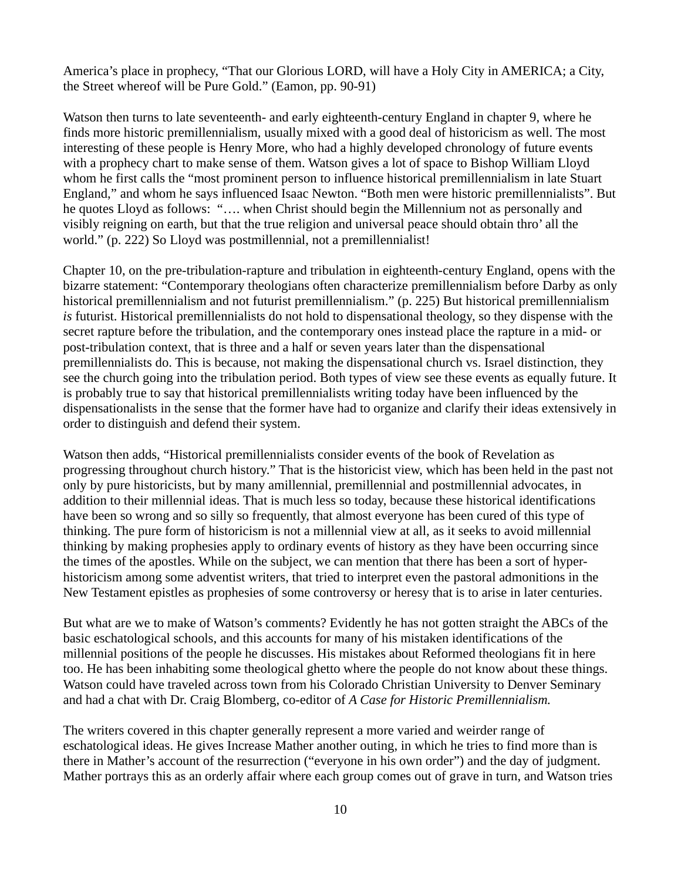America's place in prophecy, "That our Glorious LORD, will have a Holy City in AMERICA; a City, the Street whereof will be Pure Gold." (Eamon, pp. 90-91)

Watson then turns to late seventeenth- and early eighteenth-century England in chapter 9, where he finds more historic premillennialism, usually mixed with a good deal of historicism as well. The most interesting of these people is Henry More, who had a highly developed chronology of future events with a prophecy chart to make sense of them. Watson gives a lot of space to Bishop William Lloyd whom he first calls the "most prominent person to influence historical premillennialism in late Stuart England," and whom he says influenced Isaac Newton. "Both men were historic premillennialists". But he quotes Lloyd as follows: "…. when Christ should begin the Millennium not as personally and visibly reigning on earth, but that the true religion and universal peace should obtain thro' all the world." (p. 222) So Lloyd was postmillennial, not a premillennialist!

Chapter 10, on the pre-tribulation-rapture and tribulation in eighteenth-century England, opens with the bizarre statement: "Contemporary theologians often characterize premillennialism before Darby as only historical premillennialism and not futurist premillennialism." (p. 225) But historical premillennialism *is* futurist. Historical premillennialists do not hold to dispensational theology, so they dispense with the secret rapture before the tribulation, and the contemporary ones instead place the rapture in a mid- or post-tribulation context, that is three and a half or seven years later than the dispensational premillennialists do. This is because, not making the dispensational church vs. Israel distinction, they see the church going into the tribulation period. Both types of view see these events as equally future. It is probably true to say that historical premillennialists writing today have been influenced by the dispensationalists in the sense that the former have had to organize and clarify their ideas extensively in order to distinguish and defend their system.

Watson then adds, "Historical premillennialists consider events of the book of Revelation as progressing throughout church history." That is the historicist view, which has been held in the past not only by pure historicists, but by many amillennial, premillennial and postmillennial advocates, in addition to their millennial ideas. That is much less so today, because these historical identifications have been so wrong and so silly so frequently, that almost everyone has been cured of this type of thinking. The pure form of historicism is not a millennial view at all, as it seeks to avoid millennial thinking by making prophesies apply to ordinary events of history as they have been occurring since the times of the apostles. While on the subject, we can mention that there has been a sort of hyperhistoricism among some adventist writers, that tried to interpret even the pastoral admonitions in the New Testament epistles as prophesies of some controversy or heresy that is to arise in later centuries.

But what are we to make of Watson's comments? Evidently he has not gotten straight the ABCs of the basic eschatological schools, and this accounts for many of his mistaken identifications of the millennial positions of the people he discusses. His mistakes about Reformed theologians fit in here too. He has been inhabiting some theological ghetto where the people do not know about these things. Watson could have traveled across town from his Colorado Christian University to Denver Seminary and had a chat with Dr. Craig Blomberg, co-editor of *A Case for Historic Premillennialism.*

The writers covered in this chapter generally represent a more varied and weirder range of eschatological ideas. He gives Increase Mather another outing, in which he tries to find more than is there in Mather's account of the resurrection ("everyone in his own order") and the day of judgment. Mather portrays this as an orderly affair where each group comes out of grave in turn, and Watson tries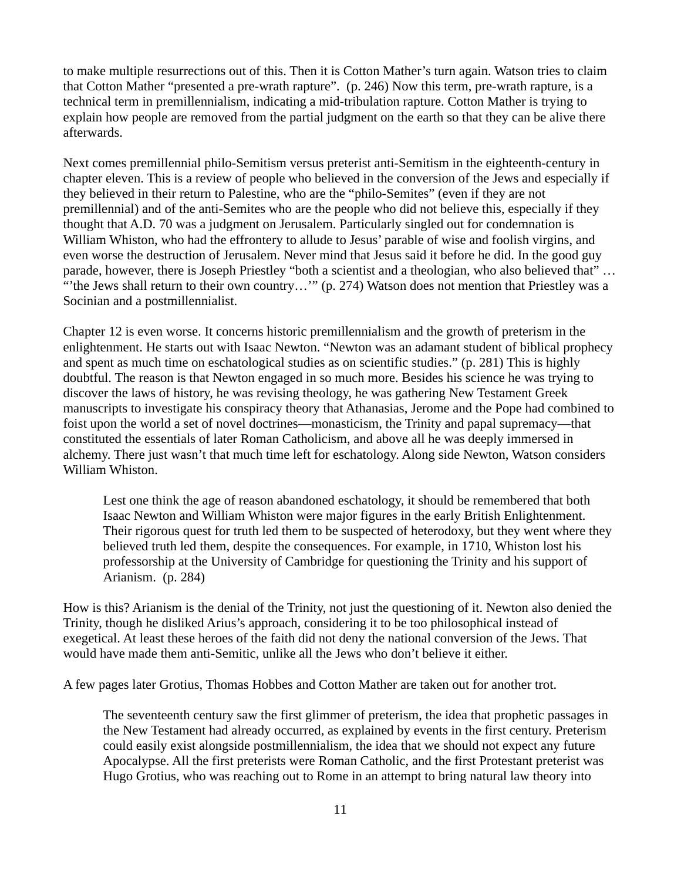to make multiple resurrections out of this. Then it is Cotton Mather's turn again. Watson tries to claim that Cotton Mather "presented a pre-wrath rapture". (p. 246) Now this term, pre-wrath rapture, is a technical term in premillennialism, indicating a mid-tribulation rapture. Cotton Mather is trying to explain how people are removed from the partial judgment on the earth so that they can be alive there afterwards.

Next comes premillennial philo-Semitism versus preterist anti-Semitism in the eighteenth-century in chapter eleven. This is a review of people who believed in the conversion of the Jews and especially if they believed in their return to Palestine, who are the "philo-Semites" (even if they are not premillennial) and of the anti-Semites who are the people who did not believe this, especially if they thought that A.D. 70 was a judgment on Jerusalem. Particularly singled out for condemnation is William Whiston, who had the effrontery to allude to Jesus' parable of wise and foolish virgins, and even worse the destruction of Jerusalem. Never mind that Jesus said it before he did. In the good guy parade, however, there is Joseph Priestley "both a scientist and a theologian, who also believed that" … "'the Jews shall return to their own country…'" (p. 274) Watson does not mention that Priestley was a Socinian and a postmillennialist.

Chapter 12 is even worse. It concerns historic premillennialism and the growth of preterism in the enlightenment. He starts out with Isaac Newton. "Newton was an adamant student of biblical prophecy and spent as much time on eschatological studies as on scientific studies." (p. 281) This is highly doubtful. The reason is that Newton engaged in so much more. Besides his science he was trying to discover the laws of history, he was revising theology, he was gathering New Testament Greek manuscripts to investigate his conspiracy theory that Athanasias, Jerome and the Pope had combined to foist upon the world a set of novel doctrines—monasticism, the Trinity and papal supremacy—that constituted the essentials of later Roman Catholicism, and above all he was deeply immersed in alchemy. There just wasn't that much time left for eschatology. Along side Newton, Watson considers William Whiston.

Lest one think the age of reason abandoned eschatology, it should be remembered that both Isaac Newton and William Whiston were major figures in the early British Enlightenment. Their rigorous quest for truth led them to be suspected of heterodoxy, but they went where they believed truth led them, despite the consequences. For example, in 1710, Whiston lost his professorship at the University of Cambridge for questioning the Trinity and his support of Arianism. (p. 284)

How is this? Arianism is the denial of the Trinity, not just the questioning of it. Newton also denied the Trinity, though he disliked Arius's approach, considering it to be too philosophical instead of exegetical. At least these heroes of the faith did not deny the national conversion of the Jews. That would have made them anti-Semitic, unlike all the Jews who don't believe it either.

A few pages later Grotius, Thomas Hobbes and Cotton Mather are taken out for another trot.

The seventeenth century saw the first glimmer of preterism, the idea that prophetic passages in the New Testament had already occurred, as explained by events in the first century. Preterism could easily exist alongside postmillennialism, the idea that we should not expect any future Apocalypse. All the first preterists were Roman Catholic, and the first Protestant preterist was Hugo Grotius, who was reaching out to Rome in an attempt to bring natural law theory into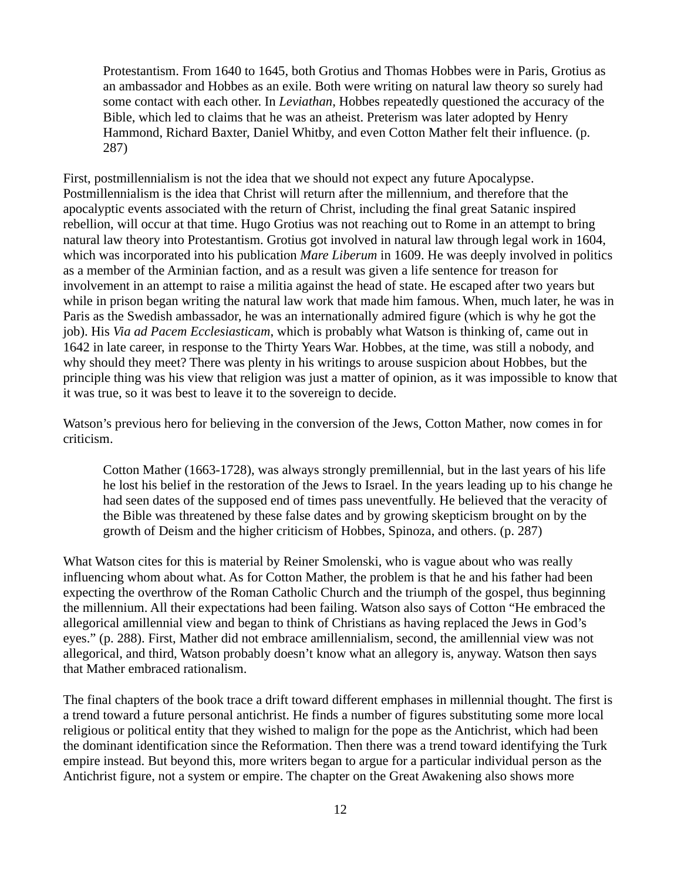Protestantism. From 1640 to 1645, both Grotius and Thomas Hobbes were in Paris, Grotius as an ambassador and Hobbes as an exile. Both were writing on natural law theory so surely had some contact with each other. In *Leviathan*, Hobbes repeatedly questioned the accuracy of the Bible, which led to claims that he was an atheist. Preterism was later adopted by Henry Hammond, Richard Baxter, Daniel Whitby, and even Cotton Mather felt their influence. (p. 287)

First, postmillennialism is not the idea that we should not expect any future Apocalypse. Postmillennialism is the idea that Christ will return after the millennium, and therefore that the apocalyptic events associated with the return of Christ, including the final great Satanic inspired rebellion, will occur at that time. Hugo Grotius was not reaching out to Rome in an attempt to bring natural law theory into Protestantism. Grotius got involved in natural law through legal work in 1604, which was incorporated into his publication *Mare Liberum* in 1609. He was deeply involved in politics as a member of the Arminian faction, and as a result was given a life sentence for treason for involvement in an attempt to raise a militia against the head of state. He escaped after two years but while in prison began writing the natural law work that made him famous. When, much later, he was in Paris as the Swedish ambassador, he was an internationally admired figure (which is why he got the job). His *Via ad Pacem Ecclesiasticam*, which is probably what Watson is thinking of, came out in 1642 in late career, in response to the Thirty Years War. Hobbes, at the time, was still a nobody, and why should they meet? There was plenty in his writings to arouse suspicion about Hobbes, but the principle thing was his view that religion was just a matter of opinion, as it was impossible to know that it was true, so it was best to leave it to the sovereign to decide.

Watson's previous hero for believing in the conversion of the Jews, Cotton Mather, now comes in for criticism.

Cotton Mather (1663-1728), was always strongly premillennial, but in the last years of his life he lost his belief in the restoration of the Jews to Israel. In the years leading up to his change he had seen dates of the supposed end of times pass uneventfully. He believed that the veracity of the Bible was threatened by these false dates and by growing skepticism brought on by the growth of Deism and the higher criticism of Hobbes, Spinoza, and others. (p. 287)

What Watson cites for this is material by Reiner Smolenski, who is vague about who was really influencing whom about what. As for Cotton Mather, the problem is that he and his father had been expecting the overthrow of the Roman Catholic Church and the triumph of the gospel, thus beginning the millennium. All their expectations had been failing. Watson also says of Cotton "He embraced the allegorical amillennial view and began to think of Christians as having replaced the Jews in God's eyes." (p. 288). First, Mather did not embrace amillennialism, second, the amillennial view was not allegorical, and third, Watson probably doesn't know what an allegory is, anyway. Watson then says that Mather embraced rationalism.

The final chapters of the book trace a drift toward different emphases in millennial thought. The first is a trend toward a future personal antichrist. He finds a number of figures substituting some more local religious or political entity that they wished to malign for the pope as the Antichrist, which had been the dominant identification since the Reformation. Then there was a trend toward identifying the Turk empire instead. But beyond this, more writers began to argue for a particular individual person as the Antichrist figure, not a system or empire. The chapter on the Great Awakening also shows more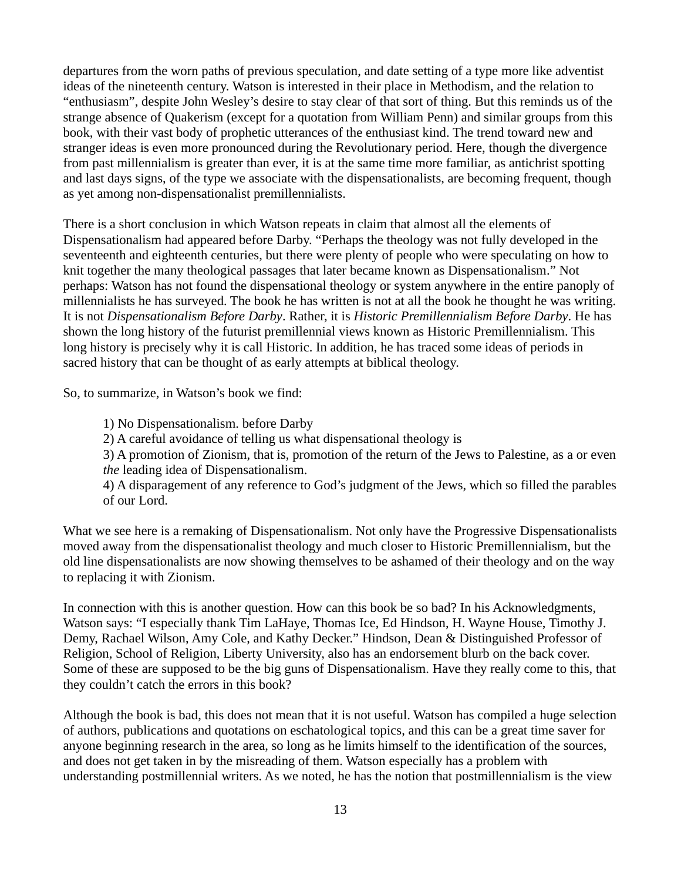departures from the worn paths of previous speculation, and date setting of a type more like adventist ideas of the nineteenth century. Watson is interested in their place in Methodism, and the relation to "enthusiasm", despite John Wesley's desire to stay clear of that sort of thing. But this reminds us of the strange absence of Quakerism (except for a quotation from William Penn) and similar groups from this book, with their vast body of prophetic utterances of the enthusiast kind. The trend toward new and stranger ideas is even more pronounced during the Revolutionary period. Here, though the divergence from past millennialism is greater than ever, it is at the same time more familiar, as antichrist spotting and last days signs, of the type we associate with the dispensationalists, are becoming frequent, though as yet among non-dispensationalist premillennialists.

There is a short conclusion in which Watson repeats in claim that almost all the elements of Dispensationalism had appeared before Darby. "Perhaps the theology was not fully developed in the seventeenth and eighteenth centuries, but there were plenty of people who were speculating on how to knit together the many theological passages that later became known as Dispensationalism." Not perhaps: Watson has not found the dispensational theology or system anywhere in the entire panoply of millennialists he has surveyed. The book he has written is not at all the book he thought he was writing. It is not *Dispensationalism Before Darby*. Rather, it is *Historic Premillennialism Before Darby*. He has shown the long history of the futurist premillennial views known as Historic Premillennialism. This long history is precisely why it is call Historic. In addition, he has traced some ideas of periods in sacred history that can be thought of as early attempts at biblical theology.

So, to summarize, in Watson's book we find:

1) No Dispensationalism. before Darby

2) A careful avoidance of telling us what dispensational theology is

3) A promotion of Zionism, that is, promotion of the return of the Jews to Palestine, as a or even *the* leading idea of Dispensationalism.

4) A disparagement of any reference to God's judgment of the Jews, which so filled the parables of our Lord.

What we see here is a remaking of Dispensationalism. Not only have the Progressive Dispensationalists moved away from the dispensationalist theology and much closer to Historic Premillennialism, but the old line dispensationalists are now showing themselves to be ashamed of their theology and on the way to replacing it with Zionism.

In connection with this is another question. How can this book be so bad? In his Acknowledgments, Watson says: "I especially thank Tim LaHaye, Thomas Ice, Ed Hindson, H. Wayne House, Timothy J. Demy, Rachael Wilson, Amy Cole, and Kathy Decker." Hindson, Dean & Distinguished Professor of Religion, School of Religion, Liberty University, also has an endorsement blurb on the back cover. Some of these are supposed to be the big guns of Dispensationalism. Have they really come to this, that they couldn't catch the errors in this book?

Although the book is bad, this does not mean that it is not useful. Watson has compiled a huge selection of authors, publications and quotations on eschatological topics, and this can be a great time saver for anyone beginning research in the area, so long as he limits himself to the identification of the sources, and does not get taken in by the misreading of them. Watson especially has a problem with understanding postmillennial writers. As we noted, he has the notion that postmillennialism is the view